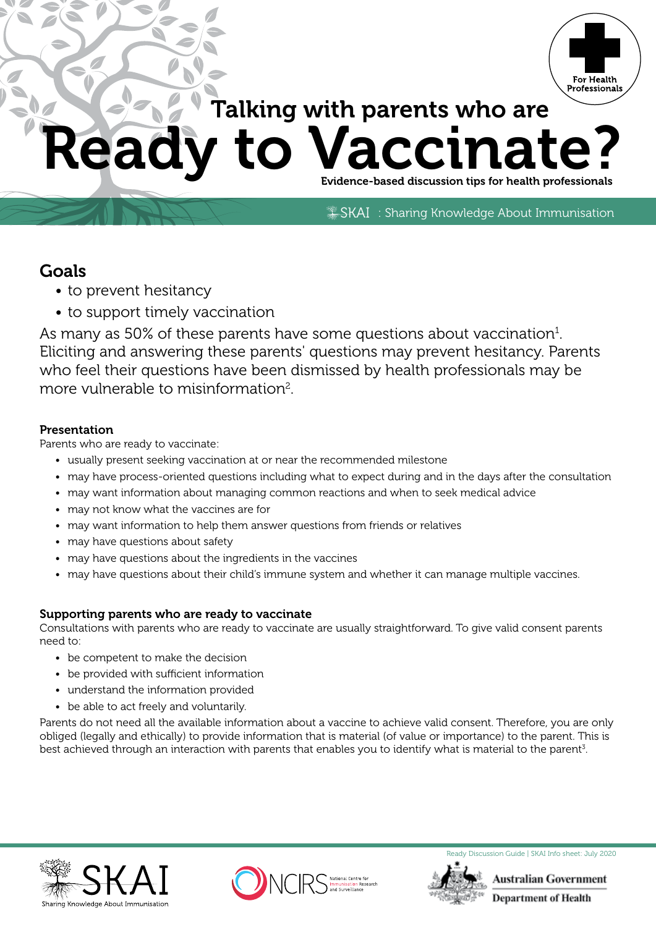

# Talking with parents who are **Ready to Vaccinat**

Evidence-based discussion tips for health professionals

SKAI : Sharing Knowledge About Immunisation

## Goals

- to prevent hesitancy
- to support timely vaccination

As many as 50% of these parents have some questions about vaccination $^1$ . Eliciting and answering these parents' questions may prevent hesitancy. Parents who feel their questions have been dismissed by health professionals may be more vulnerable to misinformation<sup>2</sup>.

#### Presentation

Parents who are ready to vaccinate:

- usually present seeking vaccination at or near the recommended milestone
- may have process-oriented questions including what to expect during and in the days after the consultation
- may want information about managing common reactions and when to seek medical advice
- may not know what the vaccines are for
- may want information to help them answer questions from friends or relatives
- may have questions about safety
- may have questions about the ingredients in the vaccines
- may have questions about their child's immune system and whether it can manage multiple vaccines.

#### Supporting parents who are ready to vaccinate

Consultations with parents who are ready to vaccinate are usually straightforward. To give valid consent parents need to:

- be competent to make the decision
- be provided with sufficient information
- understand the information provided
- be able to act freely and voluntarily.

Parents do not need all the available information about a vaccine to achieve valid consent. Therefore, you are only obliged (legally and ethically) to provide information that is material (of value or importance) to the parent. This is best achieved through an interaction with parents that enables you to identify what is material to the parent $^{\rm 3}$ .







Discussion Guide | SKAI Info sheet: July 2020

**Australian Government** 

**Department of Health**